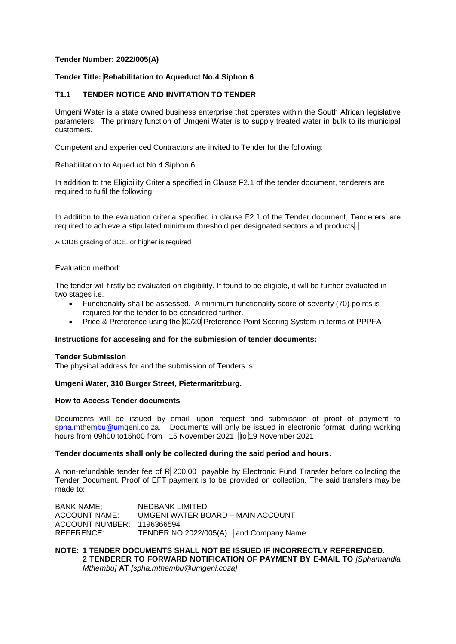# **Tender Number: 2022/005(A)**

# **Tender Title: Rehabilitation to Aqueduct No.4 Siphon 6**

# **T1.1 TENDER NOTICE AND INVITATION TO TENDER**

Umgeni Water is a state owned business enterprise that operates within the South African legislative parameters. The primary function of Umgeni Water is to supply treated water in bulk to its municipal customers.

Competent and experienced Contractors are invited to Tender for the following:

Rehabilitation to Aqueduct No.4 Siphon 6

In addition to the Eligibility Criteria specified in Clause F2.1 of the tender document, tenderers are required to fulfil the following:

In addition to the evaluation criteria specified in clause F2.1 of the Tender document, Tenderers' are required to achieve a stipulated minimum threshold per designated sectors and products

A CIDB grading of 3CE. or higher is required

### Evaluation method:

The tender will firstly be evaluated on eligibility. If found to be eligible, it will be further evaluated in two stages i.e.

- Functionality shall be assessed. A minimum functionality score of seventy (70) points is required for the tender to be considered further.
- Price & Preference using the 80/20 Preference Point Scoring System in terms of PPPFA

### **Instructions for accessing and for the submission of tender documents:**

#### **Tender Submission**

The physical address for and the submission of Tenders is:

#### **Umgeni Water, 310 Burger Street, Pietermaritzburg.**

### **How to Access Tender documents**

Documents will be issued by email, upon request and submission of proof of payment to [spha.mthembu@umgeni.co.za.](mailto:spha.mthembu@umgeni.co.za) Documents will only be issued in electronic format, during working hours from 09h00 to15h00 from 15 November 2021 to 19 November 2021

### **Tender documents shall only be collected during the said period and hours.**

A non-refundable tender fee of R 200.00 payable by Electronic Fund Transfer before collecting the Tender Document. Proof of EFT payment is to be provided on collection. The said transfers may be made to:

BANK NAME; NEDBANK LIMITED ACCOUNT NAME: UMGENI WATER BOARD – MAIN ACCOUNT ACCOUNT NUMBER: 1196366594 REFERENCE: TENDER NO.2022/005(A) and Company Name.

**NOTE: 1 TENDER DOCUMENTS SHALL NOT BE ISSUED IF INCORRECTLY REFERENCED. 2 TENDERER TO FORWARD NOTIFICATION OF PAYMENT BY E-MAIL TO** *[Sphamandla Mthembu]* **AT** *[spha.mthembu@umgeni.coza]*